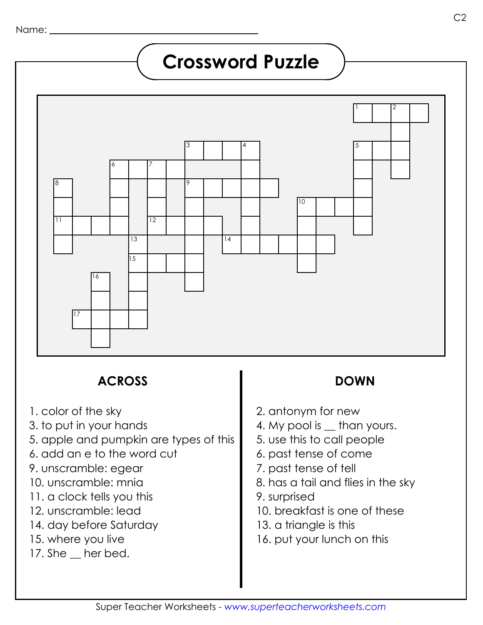## **Crossword Puzzle**



### **ACROSS DOWN**

- 1. color of the sky
- 3. to put in your hands
- 5. apple and pumpkin are types of this
- 6. add an e to the word cut
- 9. unscramble: egear
- 10. unscramble: mnia
- 11. a clock tells you this
- 12. unscramble: lead
- 14. day before Saturday
- 15. where you live
- 17. She \_ her bed.

- 2. antonym for new
- 4. My pool is  $\equiv$  than yours.
- 5. use this to call people
- 6. past tense of come
- 7. past tense of tell
- 8. has a tail and flies in the sky
- 9. surprised
- 10. breakfast is one of these
- 13. a triangle is this
- 16. put your lunch on this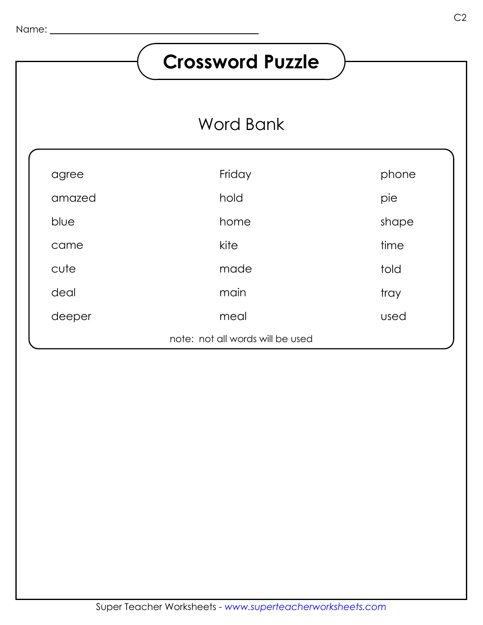# **Crossword Puzzle**

## Word Bank

| agree  | Friday                           | phone |
|--------|----------------------------------|-------|
| amazed | hold                             | pie   |
| blue   | home                             | shape |
| came   | kite                             | time  |
| cute   | made                             | told  |
| deal   | main                             | tray  |
| deeper | meal                             | used  |
|        | note: not all words will be used |       |